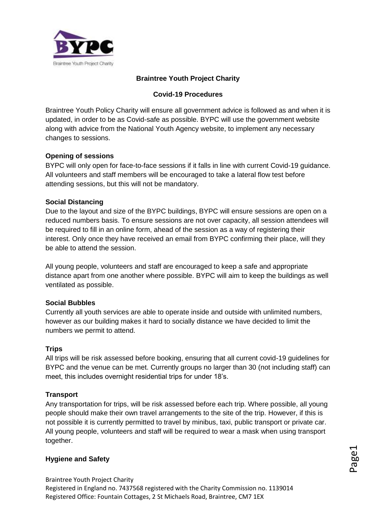

### **Braintree Youth Project Charity**

### **Covid-19 Procedures**

Braintree Youth Policy Charity will ensure all government advice is followed as and when it is updated, in order to be as Covid-safe as possible. BYPC will use the government website along with advice from the National Youth Agency website, to implement any necessary changes to sessions.

#### **Opening of sessions**

BYPC will only open for face-to-face sessions if it falls in line with current Covid-19 guidance. All volunteers and staff members will be encouraged to take a lateral flow test before attending sessions, but this will not be mandatory.

# **Social Distancing**

Due to the layout and size of the BYPC buildings, BYPC will ensure sessions are open on a reduced numbers basis. To ensure sessions are not over capacity, all session attendees will be required to fill in an online form, ahead of the session as a way of registering their interest. Only once they have received an email from BYPC confirming their place, will they be able to attend the session.

All young people, volunteers and staff are encouraged to keep a safe and appropriate distance apart from one another where possible. BYPC will aim to keep the buildings as well ventilated as possible.

# **Social Bubbles**

Currently all youth services are able to operate inside and outside with unlimited numbers, however as our building makes it hard to socially distance we have decided to limit the numbers we permit to attend.

#### **Trips**

All trips will be risk assessed before booking, ensuring that all current covid-19 guidelines for BYPC and the venue can be met. Currently groups no larger than 30 (not including staff) can meet, this includes overnight residential trips for under 18's.

#### **Transport**

Any transportation for trips, will be risk assessed before each trip. Where possible, all young people should make their own travel arrangements to the site of the trip. However, if this is not possible it is currently permitted to travel by minibus, taxi, public transport or private car. All young people, volunteers and staff will be required to wear a mask when using transport together.

#### **Hygiene and Safety**

Braintree Youth Project Charity Registered in England no. 7437568 registered with the Charity Commission no. 1139014 Registered Office: Fountain Cottages, 2 St Michaels Road, Braintree, CM7 1EX